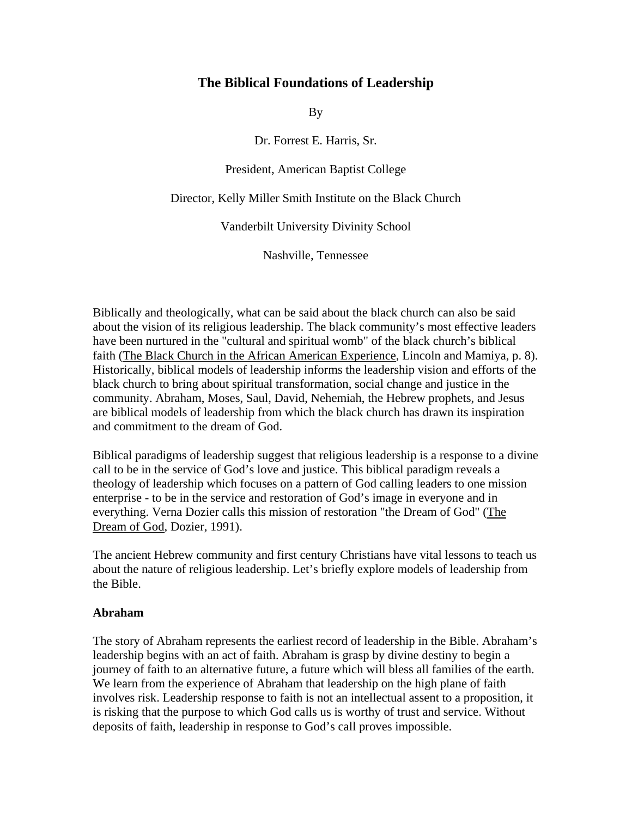# **The Biblical Foundations of Leadership**

By

Dr. Forrest E. Harris, Sr.

President, American Baptist College

Director, Kelly Miller Smith Institute on the Black Church

Vanderbilt University Divinity School

Nashville, Tennessee

Biblically and theologically, what can be said about the black church can also be said about the vision of its religious leadership. The black community's most effective leaders have been nurtured in the "cultural and spiritual womb" of the black church's biblical faith (The Black Church in the African American Experience, Lincoln and Mamiya, p. 8). Historically, biblical models of leadership informs the leadership vision and efforts of the black church to bring about spiritual transformation, social change and justice in the community. Abraham, Moses, Saul, David, Nehemiah, the Hebrew prophets, and Jesus are biblical models of leadership from which the black church has drawn its inspiration and commitment to the dream of God.

Biblical paradigms of leadership suggest that religious leadership is a response to a divine call to be in the service of God's love and justice. This biblical paradigm reveals a theology of leadership which focuses on a pattern of God calling leaders to one mission enterprise - to be in the service and restoration of God's image in everyone and in everything. Verna Dozier calls this mission of restoration "the Dream of God" (The Dream of God, Dozier, 1991).

The ancient Hebrew community and first century Christians have vital lessons to teach us about the nature of religious leadership. Let's briefly explore models of leadership from the Bible.

### **Abraham**

The story of Abraham represents the earliest record of leadership in the Bible. Abraham's leadership begins with an act of faith. Abraham is grasp by divine destiny to begin a journey of faith to an alternative future, a future which will bless all families of the earth. We learn from the experience of Abraham that leadership on the high plane of faith involves risk. Leadership response to faith is not an intellectual assent to a proposition, it is risking that the purpose to which God calls us is worthy of trust and service. Without deposits of faith, leadership in response to God's call proves impossible.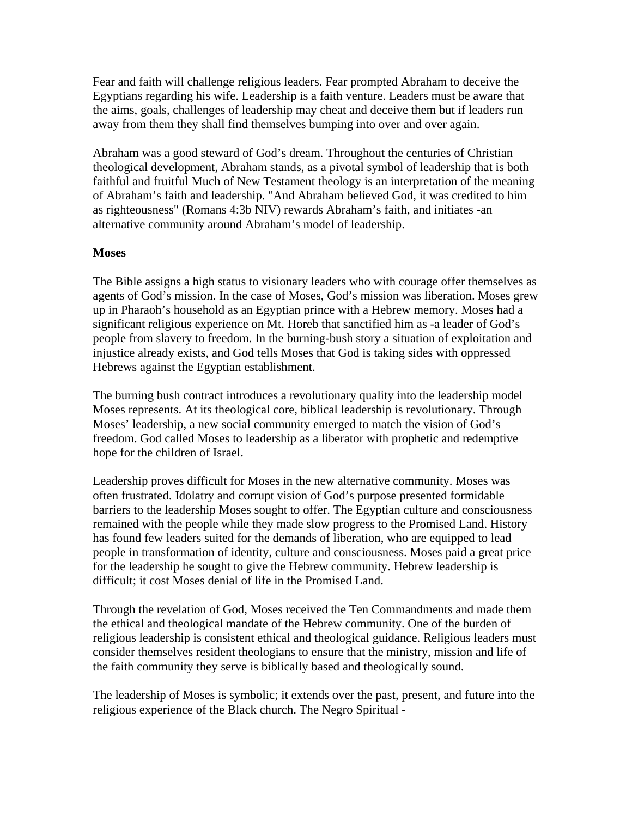Fear and faith will challenge religious leaders. Fear prompted Abraham to deceive the Egyptians regarding his wife. Leadership is a faith venture. Leaders must be aware that the aims, goals, challenges of leadership may cheat and deceive them but if leaders run away from them they shall find themselves bumping into over and over again.

Abraham was a good steward of God's dream. Throughout the centuries of Christian theological development, Abraham stands, as a pivotal symbol of leadership that is both faithful and fruitful Much of New Testament theology is an interpretation of the meaning of Abraham's faith and leadership. "And Abraham believed God, it was credited to him as righteousness" (Romans 4:3b NIV) rewards Abraham's faith, and initiates -an alternative community around Abraham's model of leadership.

### **Moses**

The Bible assigns a high status to visionary leaders who with courage offer themselves as agents of God's mission. In the case of Moses, God's mission was liberation. Moses grew up in Pharaoh's household as an Egyptian prince with a Hebrew memory. Moses had a significant religious experience on Mt. Horeb that sanctified him as -a leader of God's people from slavery to freedom. In the burning-bush story a situation of exploitation and injustice already exists, and God tells Moses that God is taking sides with oppressed Hebrews against the Egyptian establishment.

The burning bush contract introduces a revolutionary quality into the leadership model Moses represents. At its theological core, biblical leadership is revolutionary. Through Moses' leadership, a new social community emerged to match the vision of God's freedom. God called Moses to leadership as a liberator with prophetic and redemptive hope for the children of Israel.

Leadership proves difficult for Moses in the new alternative community. Moses was often frustrated. Idolatry and corrupt vision of God's purpose presented formidable barriers to the leadership Moses sought to offer. The Egyptian culture and consciousness remained with the people while they made slow progress to the Promised Land. History has found few leaders suited for the demands of liberation, who are equipped to lead people in transformation of identity, culture and consciousness. Moses paid a great price for the leadership he sought to give the Hebrew community. Hebrew leadership is difficult; it cost Moses denial of life in the Promised Land.

Through the revelation of God, Moses received the Ten Commandments and made them the ethical and theological mandate of the Hebrew community. One of the burden of religious leadership is consistent ethical and theological guidance. Religious leaders must consider themselves resident theologians to ensure that the ministry, mission and life of the faith community they serve is biblically based and theologically sound.

The leadership of Moses is symbolic; it extends over the past, present, and future into the religious experience of the Black church. The Negro Spiritual -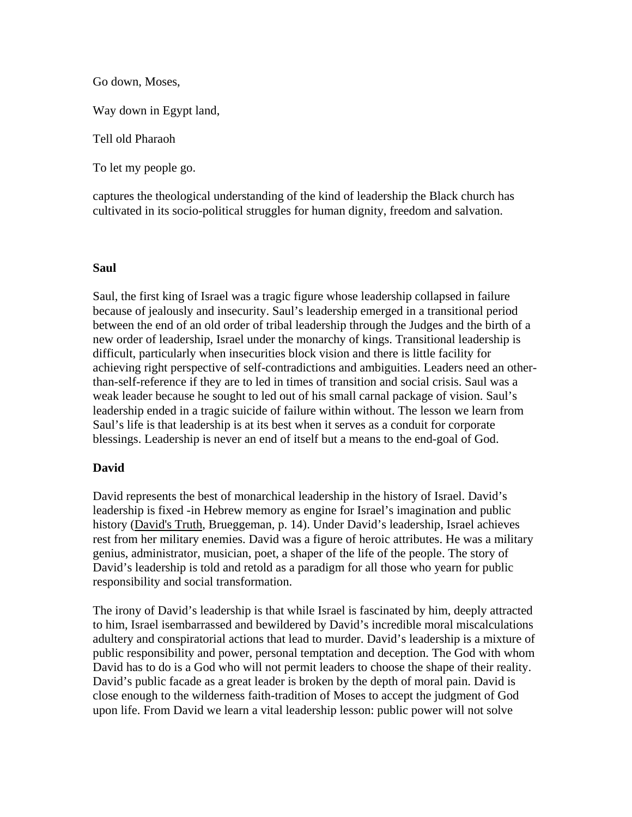Go down, Moses,

Way down in Egypt land,

Tell old Pharaoh

To let my people go.

captures the theological understanding of the kind of leadership the Black church has cultivated in its socio-political struggles for human dignity, freedom and salvation.

### **Saul**

Saul, the first king of Israel was a tragic figure whose leadership collapsed in failure because of jealously and insecurity. Saul's leadership emerged in a transitional period between the end of an old order of tribal leadership through the Judges and the birth of a new order of leadership, Israel under the monarchy of kings. Transitional leadership is difficult, particularly when insecurities block vision and there is little facility for achieving right perspective of self-contradictions and ambiguities. Leaders need an otherthan-self-reference if they are to led in times of transition and social crisis. Saul was a weak leader because he sought to led out of his small carnal package of vision. Saul's leadership ended in a tragic suicide of failure within without. The lesson we learn from Saul's life is that leadership is at its best when it serves as a conduit for corporate blessings. Leadership is never an end of itself but a means to the end-goal of God.

## **David**

David represents the best of monarchical leadership in the history of Israel. David's leadership is fixed -in Hebrew memory as engine for Israel's imagination and public history (David's Truth, Brueggeman, p. 14). Under David's leadership, Israel achieves rest from her military enemies. David was a figure of heroic attributes. He was a military genius, administrator, musician, poet, a shaper of the life of the people. The story of David's leadership is told and retold as a paradigm for all those who yearn for public responsibility and social transformation.

The irony of David's leadership is that while Israel is fascinated by him, deeply attracted to him, Israel isembarrassed and bewildered by David's incredible moral miscalculations adultery and conspiratorial actions that lead to murder. David's leadership is a mixture of public responsibility and power, personal temptation and deception. The God with whom David has to do is a God who will not permit leaders to choose the shape of their reality. David's public facade as a great leader is broken by the depth of moral pain. David is close enough to the wilderness faith-tradition of Moses to accept the judgment of God upon life. From David we learn a vital leadership lesson: public power will not solve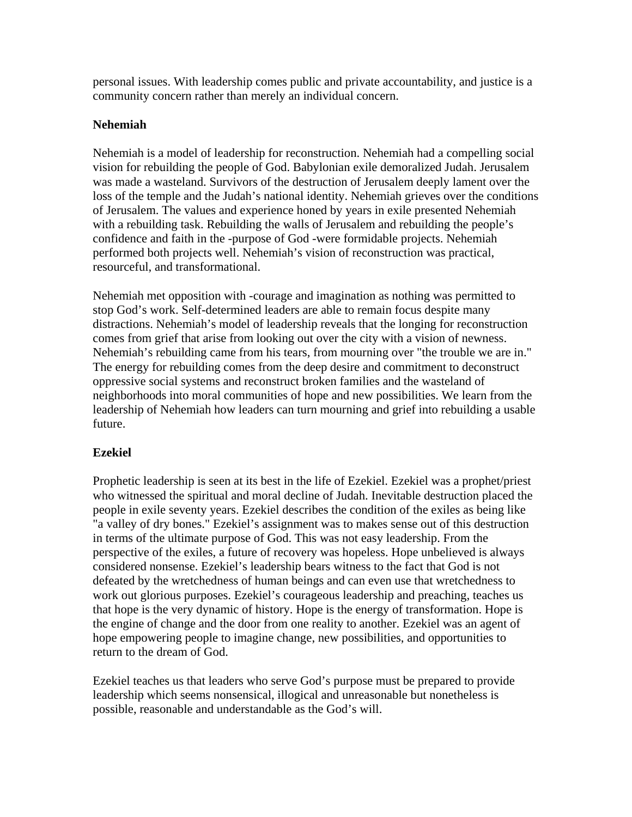personal issues. With leadership comes public and private accountability, and justice is a community concern rather than merely an individual concern.

## **Nehemiah**

Nehemiah is a model of leadership for reconstruction. Nehemiah had a compelling social vision for rebuilding the people of God. Babylonian exile demoralized Judah. Jerusalem was made a wasteland. Survivors of the destruction of Jerusalem deeply lament over the loss of the temple and the Judah's national identity. Nehemiah grieves over the conditions of Jerusalem. The values and experience honed by years in exile presented Nehemiah with a rebuilding task. Rebuilding the walls of Jerusalem and rebuilding the people's confidence and faith in the -purpose of God -were formidable projects. Nehemiah performed both projects well. Nehemiah's vision of reconstruction was practical, resourceful, and transformational.

Nehemiah met opposition with -courage and imagination as nothing was permitted to stop God's work. Self-determined leaders are able to remain focus despite many distractions. Nehemiah's model of leadership reveals that the longing for reconstruction comes from grief that arise from looking out over the city with a vision of newness. Nehemiah's rebuilding came from his tears, from mourning over "the trouble we are in." The energy for rebuilding comes from the deep desire and commitment to deconstruct oppressive social systems and reconstruct broken families and the wasteland of neighborhoods into moral communities of hope and new possibilities. We learn from the leadership of Nehemiah how leaders can turn mourning and grief into rebuilding a usable future.

## **Ezekiel**

Prophetic leadership is seen at its best in the life of Ezekiel. Ezekiel was a prophet/priest who witnessed the spiritual and moral decline of Judah. Inevitable destruction placed the people in exile seventy years. Ezekiel describes the condition of the exiles as being like "a valley of dry bones." Ezekiel's assignment was to makes sense out of this destruction in terms of the ultimate purpose of God. This was not easy leadership. From the perspective of the exiles, a future of recovery was hopeless. Hope unbelieved is always considered nonsense. Ezekiel's leadership bears witness to the fact that God is not defeated by the wretchedness of human beings and can even use that wretchedness to work out glorious purposes. Ezekiel's courageous leadership and preaching, teaches us that hope is the very dynamic of history. Hope is the energy of transformation. Hope is the engine of change and the door from one reality to another. Ezekiel was an agent of hope empowering people to imagine change, new possibilities, and opportunities to return to the dream of God.

Ezekiel teaches us that leaders who serve God's purpose must be prepared to provide leadership which seems nonsensical, illogical and unreasonable but nonetheless is possible, reasonable and understandable as the God's will.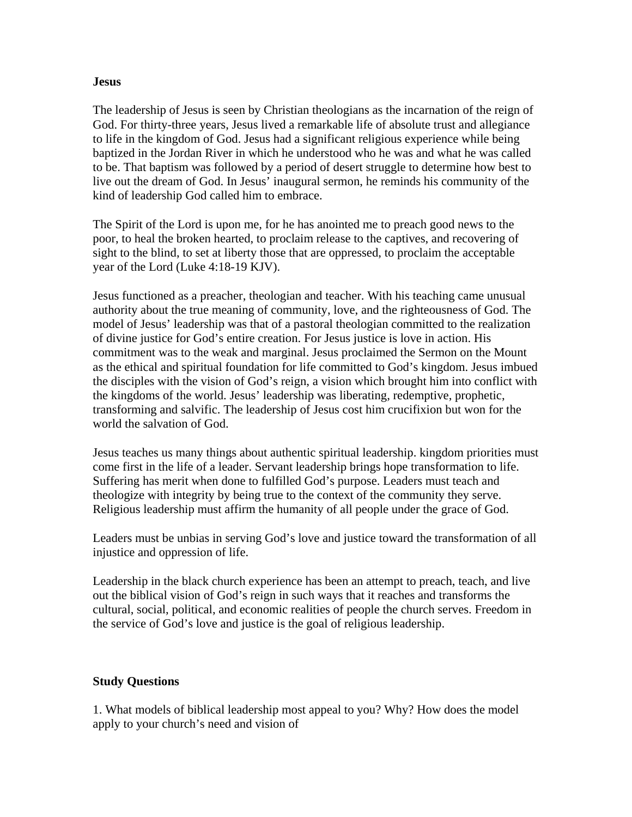### **Jesus**

The leadership of Jesus is seen by Christian theologians as the incarnation of the reign of God. For thirty-three years, Jesus lived a remarkable life of absolute trust and allegiance to life in the kingdom of God. Jesus had a significant religious experience while being baptized in the Jordan River in which he understood who he was and what he was called to be. That baptism was followed by a period of desert struggle to determine how best to live out the dream of God. In Jesus' inaugural sermon, he reminds his community of the kind of leadership God called him to embrace.

The Spirit of the Lord is upon me, for he has anointed me to preach good news to the poor, to heal the broken hearted, to proclaim release to the captives, and recovering of sight to the blind, to set at liberty those that are oppressed, to proclaim the acceptable year of the Lord (Luke 4:18-19 KJV).

Jesus functioned as a preacher, theologian and teacher. With his teaching came unusual authority about the true meaning of community, love, and the righteousness of God. The model of Jesus' leadership was that of a pastoral theologian committed to the realization of divine justice for God's entire creation. For Jesus justice is love in action. His commitment was to the weak and marginal. Jesus proclaimed the Sermon on the Mount as the ethical and spiritual foundation for life committed to God's kingdom. Jesus imbued the disciples with the vision of God's reign, a vision which brought him into conflict with the kingdoms of the world. Jesus' leadership was liberating, redemptive, prophetic, transforming and salvific. The leadership of Jesus cost him crucifixion but won for the world the salvation of God.

Jesus teaches us many things about authentic spiritual leadership. kingdom priorities must come first in the life of a leader. Servant leadership brings hope transformation to life. Suffering has merit when done to fulfilled God's purpose. Leaders must teach and theologize with integrity by being true to the context of the community they serve. Religious leadership must affirm the humanity of all people under the grace of God.

Leaders must be unbias in serving God's love and justice toward the transformation of all injustice and oppression of life.

Leadership in the black church experience has been an attempt to preach, teach, and live out the biblical vision of God's reign in such ways that it reaches and transforms the cultural, social, political, and economic realities of people the church serves. Freedom in the service of God's love and justice is the goal of religious leadership.

## **Study Questions**

1. What models of biblical leadership most appeal to you? Why? How does the model apply to your church's need and vision of